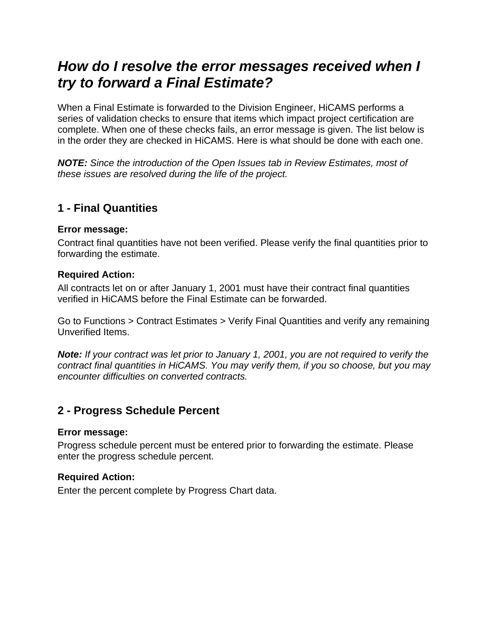# *How do I resolve the error messages received when I try to forward a Final Estimate?*

When a Final Estimate is forwarded to the Division Engineer, HiCAMS performs a series of validation checks to ensure that items which impact project certification are complete. When one of these checks fails, an error message is given. The list below is in the order they are checked in HiCAMS. Here is what should be done with each one.

*NOTE: Since the introduction of the Open Issues tab in Review Estimates, most of these issues are resolved during the life of the project.* 

# **1 - Final Quantities**

#### **Error message:**

Contract final quantities have not been verified. Please verify the final quantities prior to forwarding the estimate.

#### **Required Action:**

All contracts let on or after January 1, 2001 must have their contract final quantities verified in HiCAMS before the Final Estimate can be forwarded.

Go to Functions > Contract Estimates > Verify Final Quantities and verify any remaining Unverified Items.

*Note: If your contract was let prior to January 1, 2001, you are not required to verify the contract final quantities in HiCAMS. You may verify them, if you so choose, but you may encounter difficulties on converted contracts.* 

# **2 - Progress Schedule Percent**

#### **Error message:**

Progress schedule percent must be entered prior to forwarding the estimate. Please enter the progress schedule percent.

#### **Required Action:**

Enter the percent complete by Progress Chart data.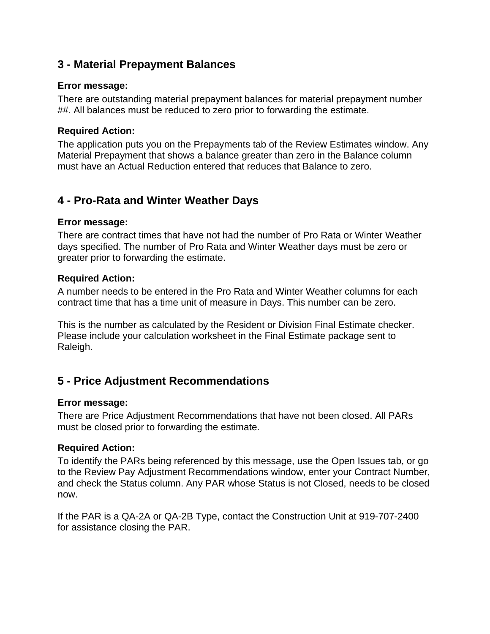### **3 - Material Prepayment Balances**

#### **Error message:**

There are outstanding material prepayment balances for material prepayment number ##. All balances must be reduced to zero prior to forwarding the estimate.

### **Required Action:**

The application puts you on the Prepayments tab of the Review Estimates window. Any Material Prepayment that shows a balance greater than zero in the Balance column must have an Actual Reduction entered that reduces that Balance to zero.

# **4 - Pro-Rata and Winter Weather Days**

#### **Error message:**

There are contract times that have not had the number of Pro Rata or Winter Weather days specified. The number of Pro Rata and Winter Weather days must be zero or greater prior to forwarding the estimate.

#### **Required Action:**

A number needs to be entered in the Pro Rata and Winter Weather columns for each contract time that has a time unit of measure in Days. This number can be zero.

This is the number as calculated by the Resident or Division Final Estimate checker. Please include your calculation worksheet in the Final Estimate package sent to Raleigh.

# **5 - Price Adjustment Recommendations**

### **Error message:**

There are Price Adjustment Recommendations that have not been closed. All PARs must be closed prior to forwarding the estimate.

### **Required Action:**

To identify the PARs being referenced by this message, use the Open Issues tab, or go to the Review Pay Adjustment Recommendations window, enter your Contract Number, and check the Status column. Any PAR whose Status is not Closed, needs to be closed now.

If the PAR is a QA-2A or QA-2B Type, contact the Construction Unit at 919-707-2400 for assistance closing the PAR.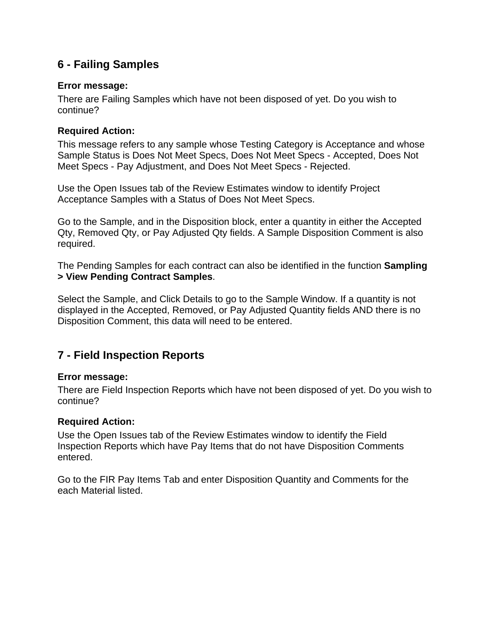# **6 - Failing Samples**

### **Error message:**

There are Failing Samples which have not been disposed of yet. Do you wish to continue?

#### **Required Action:**

This message refers to any sample whose Testing Category is Acceptance and whose Sample Status is Does Not Meet Specs, Does Not Meet Specs - Accepted, Does Not Meet Specs - Pay Adjustment, and Does Not Meet Specs - Rejected.

Use the Open Issues tab of the Review Estimates window to identify Project Acceptance Samples with a Status of Does Not Meet Specs.

Go to the Sample, and in the Disposition block, enter a quantity in either the Accepted Qty, Removed Qty, or Pay Adjusted Qty fields. A Sample Disposition Comment is also required.

The Pending Samples for each contract can also be identified in the function **Sampling > View Pending Contract Samples**.

Select the Sample, and Click Details to go to the Sample Window. If a quantity is not displayed in the Accepted, Removed, or Pay Adjusted Quantity fields AND there is no Disposition Comment, this data will need to be entered.

# **7 - Field Inspection Reports**

### **Error message:**

There are Field Inspection Reports which have not been disposed of yet. Do you wish to continue?

#### **Required Action:**

Use the Open Issues tab of the Review Estimates window to identify the Field Inspection Reports which have Pay Items that do not have Disposition Comments entered.

Go to the FIR Pay Items Tab and enter Disposition Quantity and Comments for the each Material listed.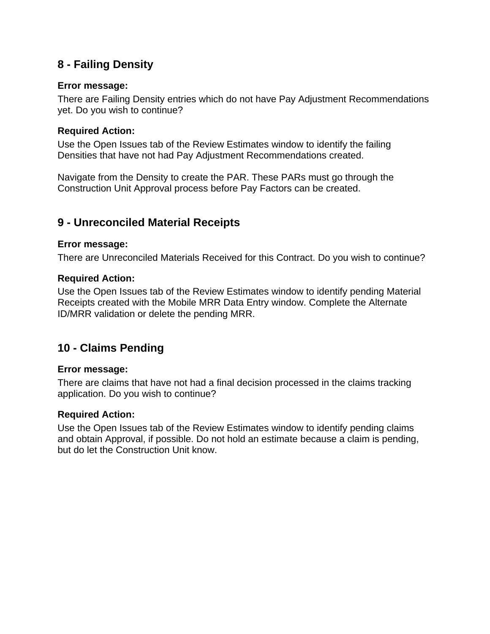# **8 - Failing Density**

### **Error message:**

There are Failing Density entries which do not have Pay Adjustment Recommendations yet. Do you wish to continue?

#### **Required Action:**

Use the Open Issues tab of the Review Estimates window to identify the failing Densities that have not had Pay Adjustment Recommendations created.

Navigate from the Density to create the PAR. These PARs must go through the Construction Unit Approval process before Pay Factors can be created.

### **9 - Unreconciled Material Receipts**

#### **Error message:**

There are Unreconciled Materials Received for this Contract. Do you wish to continue?

#### **Required Action:**

Use the Open Issues tab of the Review Estimates window to identify pending Material Receipts created with the Mobile MRR Data Entry window. Complete the Alternate ID/MRR validation or delete the pending MRR.

# **10 - Claims Pending**

#### **Error message:**

There are claims that have not had a final decision processed in the claims tracking application. Do you wish to continue?

### **Required Action:**

Use the Open Issues tab of the Review Estimates window to identify pending claims and obtain Approval, if possible. Do not hold an estimate because a claim is pending, but do let the Construction Unit know.